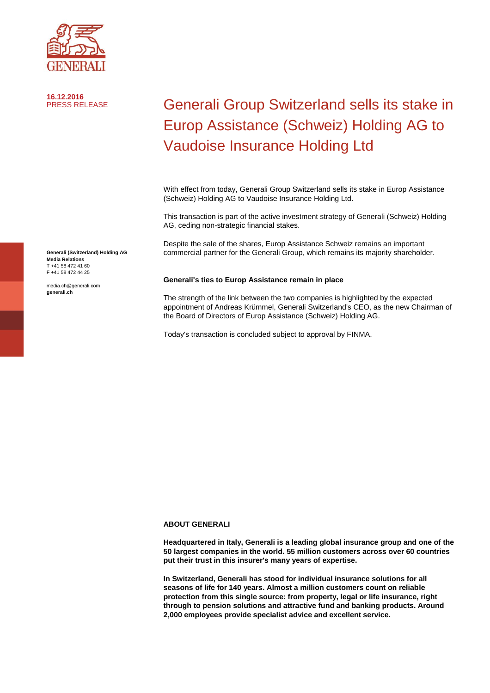

**16.12.2016**

## Generali Group Switzerland sells its stake in Europ Assistance (Schweiz) Holding AG to Vaudoise Insurance Holding Ltd

With effect from today, Generali Group Switzerland sells its stake in Europ Assistance (Schweiz) Holding AG to Vaudoise Insurance Holding Ltd.

This transaction is part of the active investment strategy of Generali (Schweiz) Holding AG, ceding non-strategic financial stakes.

Despite the sale of the shares, Europ Assistance Schweiz remains an important commercial partner for the Generali Group, which remains its majority shareholder.

## **Generali's ties to Europ Assistance remain in place**

The strength of the link between the two companies is highlighted by the expected appointment of Andreas Krümmel, Generali Switzerland's CEO, as the new Chairman of the Board of Directors of Europ Assistance (Schweiz) Holding AG.

Today's transaction is concluded subject to approval by FINMA.

## **ABOUT GENERALI**

**Headquartered in Italy, Generali is a leading global insurance group and one of the 50 largest companies in the world. 55 million customers across over 60 countries put their trust in this insurer's many years of expertise.** 

**In Switzerland, Generali has stood for individual insurance solutions for all seasons of life for 140 years. Almost a million customers count on reliable protection from this single source: from property, legal or life insurance, right through to pension solutions and attractive fund and banking products. Around 2,000 employees provide specialist advice and excellent service.**

**Generali (Switzerland) Holding AG Media Relations** T +41 58 472 41 60 F +41 58 472 44 25

media.ch@generali.com **generali.ch**